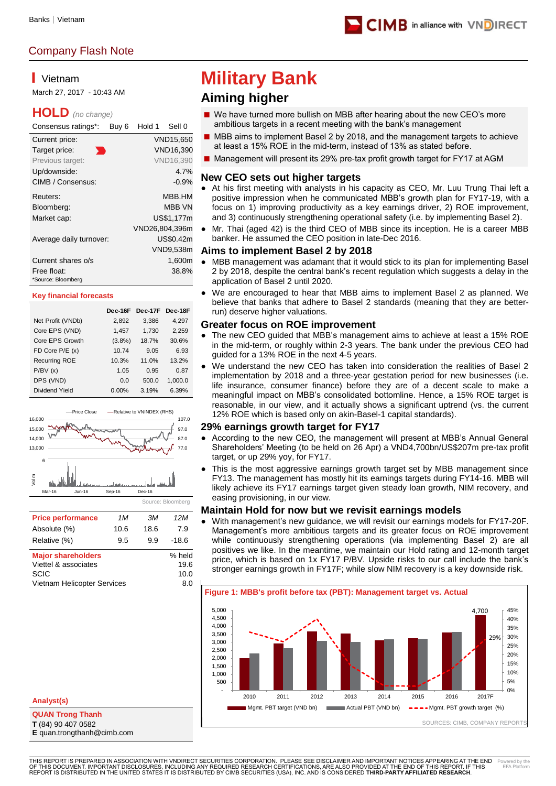# Company Flash Note

## ▎Vietnam

March 27, 2017 - 10:43 AM

## **HOLD** *(no change)*

| Consensus ratings*:     | Buy <sub>6</sub> | Hold 1 | Sell 0           |
|-------------------------|------------------|--------|------------------|
| Current price:          |                  |        | VND15.650        |
| Target price:<br>o a    |                  |        | VND16,390        |
| Previous target:        |                  |        | <b>VND16,390</b> |
| Up/downside:            |                  |        | 4.7%             |
| CIMB / Consensus:       |                  |        | $-0.9%$          |
| Reuters:                |                  |        | MBB.HM           |
| Bloomberg:              |                  |        | <b>MBB VN</b>    |
| Market cap:             |                  |        | US\$1,177m       |
|                         |                  |        | VND26,804,396m   |
| Average daily turnover: |                  |        | US\$0.42m        |
|                         |                  |        | VND9,538m        |
| Current shares o/s      |                  |        | 1,600m           |
| Free float:             |                  |        | 38.8%            |
| *Source: Bloomberg      |                  |        |                  |

#### **Key financial forecasts**

|                   | Dec-16F  | Dec-17F Dec-18F |         |
|-------------------|----------|-----------------|---------|
| Net Profit (VNDb) | 2,892    | 3,386           | 4,297   |
| Core EPS (VND)    | 1,457    | 1,730           | 2,259   |
| Core EPS Growth   | (3.8%)   | 18.7%           | 30.6%   |
| FD Core P/E (x)   | 10.74    | 9.05            | 6.93    |
| Recurring ROE     | 10.3%    | 11.0%           | 13.2%   |
| P/BV(x)           | 1.05     | 0.95            | 0.87    |
| DPS (VND)         | 0.0      | 500.0           | 1,000.0 |
| Dividend Yield    | $0.00\%$ | 3.19%           | 6.39%   |



| <b>Price performance</b>  | 1M   | ЗM.  | 12M     |
|---------------------------|------|------|---------|
| Absolute (%)              | 10.6 | 18.6 | 7.9     |
| Relative (%)              | 9.5  | 9.9  | $-18.6$ |
| <b>Major shareholders</b> |      |      | % held  |
| Viettel & associates      |      |      | 19.6    |
| <b>SCIC</b>               |      |      | 10.0    |

Vietnam Helicopter Services 8.0

**Analyst(s)**

**QUAN Trong Thanh**

**T** (84) 90 407 0582 **E** quan.trongthanh@cimb.com

| <b>Military Bank</b> |  |
|----------------------|--|
| <b>Aiming higher</b> |  |

- We have turned more bullish on MBB after hearing about the new CEO's more ambitious targets in a recent meeting with the bank's management
- MBB aims to implement Basel 2 by 2018, and the management targets to achieve at least a 15% ROE in the mid-term, instead of 13% as stated before.
- Management will present its 29% pre-tax profit growth target for FY17 at AGM

## **New CEO sets out higher targets**

- At his first meeting with analysts in his capacity as CEO, Mr. Luu Trung Thai left a positive impression when he communicated MBB's growth plan for FY17-19, with a focus on 1) improving productivity as a key earnings driver, 2) ROE improvement, and 3) continuously strengthening operational safety (i.e. by implementing Basel 2).
- Mr. Thai (aged 42) is the third CEO of MBB since its inception. He is a career MBB banker. He assumed the CEO position in late-Dec 2016.

## **Aims to implement Basel 2 by 2018**

- MBB management was adamant that it would stick to its plan for implementing Basel 2 by 2018, despite the central bank's recent regulation which suggests a delay in the application of Basel 2 until 2020.
- We are encouraged to hear that MBB aims to implement Basel 2 as planned. We believe that banks that adhere to Basel 2 standards (meaning that they are betterrun) deserve higher valuations.

### **Greater focus on ROE improvement**

- The new CEO guided that MBB's management aims to achieve at least a 15% ROE in the mid-term, or roughly within 2-3 years. The bank under the previous CEO had guided for a 13% ROE in the next 4-5 years.
- We understand the new CEO has taken into consideration the realities of Basel 2 implementation by 2018 and a three-year gestation period for new businesses (i.e. life insurance, consumer finance) before they are of a decent scale to make a meaningful impact on MBB's consolidated bottomline. Hence, a 15% ROE target is reasonable, in our view, and it actually shows a significant uptrend (vs. the current 12% ROE which is based only on akin-Basel-1 capital standards).

## **29% earnings growth target for FY17**

- According to the new CEO, the management will present at MBB's Annual General Shareholders' Meeting (to be held on 26 Apr) a VND4,700bn/US\$207m pre-tax profit target, or up 29% yoy, for FY17.
- This is the most aggressive earnings growth target set by MBB management since FY13. The management has mostly hit its earnings targets during FY14-16. MBB will likely achieve its FY17 earnings target given steady loan growth, NIM recovery, and easing provisioning, in our view.

#### **Maintain Hold for now but we revisit earnings models**

With management's new guidance, we will revisit our earnings models for FY17-20F. Management's more ambitious targets and its greater focus on ROE improvement while continuously strengthening operations (via implementing Basel 2) are all positives we like. In the meantime, we maintain our Hold rating and 12-month target price, which is based on 1x FY17 P/BV. Upside risks to our call include the bank's stronger earnings growth in FY17F; while slow NIM recovery is a key downside risk.



ed by the

**CIMB** in alliance with VNDIRECT

THIS REPORT IS PREPARED IN ASSOCIATION WITH VNDIRECT SECURITIES CORPORATION. PLEASE SEE DISCLAIMER AND IMPORTANT NOTICES APPEARING AT THE END<br>OF THIS DOCUMENT IMPORTANT DISCLOSURES, INCLUDING ANY REQUIRED RESEARCH CERTIFIC OF THIS DOCUMENT. IMPORTANT DISCLOSURES, INCLUDING ANY REQUIRED RESEARCH CERTIFICATIONS, ARE ALSO PROVIDED AT THE END OF THIS REPORT. IF THIS<br>REPORT IS DISTRIBUTED IN THE UNITED STATES IT IS DISTRIBUTED BY CIMB SECURITIES EFA Platform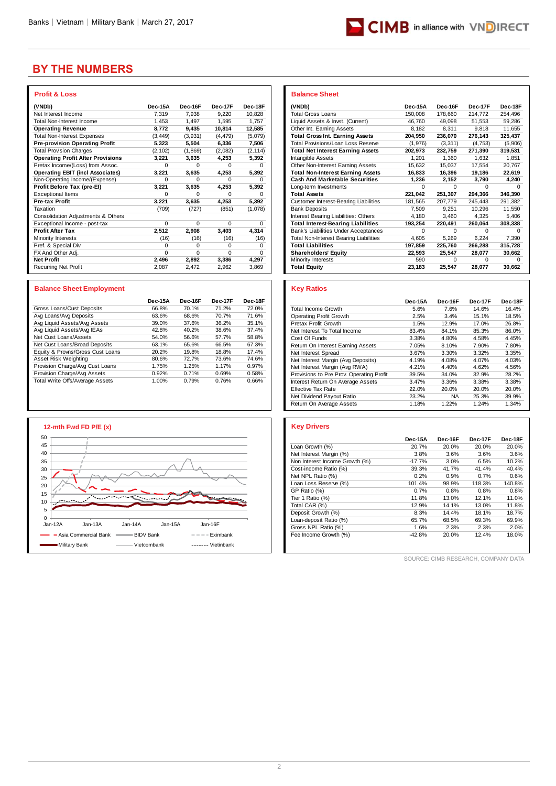

## **BY THE NUMBERS**

| <b>Profit &amp; Loss</b>                 |          |          |          |          |
|------------------------------------------|----------|----------|----------|----------|
| (VNDb)                                   | Dec-15A  | Dec-16F  | Dec-17F  | Dec-18F  |
| Net Interest Income                      | 7,319    | 7.938    | 9.220    | 10.828   |
| Total Non-Interest Income                | 1.453    | 1.497    | 1.595    | 1.757    |
| <b>Operating Revenue</b>                 | 8,772    | 9,435    | 10,814   | 12,585   |
| <b>Total Non-Interest Expenses</b>       | (3, 449) | (3,931)  | (4.479)  | (5,079)  |
| <b>Pre-provision Operating Profit</b>    | 5,323    | 5,504    | 6,336    | 7,506    |
| <b>Total Provision Charges</b>           | (2, 102) | (1,869)  | (2,082)  | (2, 114) |
| <b>Operating Profit After Provisions</b> | 3,221    | 3,635    | 4,253    | 5,392    |
| Pretax Income/(Loss) from Assoc.         | $\Omega$ | $\Omega$ | $\Omega$ | $\Omega$ |
| <b>Operating EBIT (incl Associates)</b>  | 3,221    | 3,635    | 4,253    | 5,392    |
| Non-Operating Income/(Expense)           | $\Omega$ | $\Omega$ | $\Omega$ | 0        |
| Profit Before Tax (pre-El)               | 3,221    | 3,635    | 4,253    | 5,392    |
| <b>Exceptional Items</b>                 | 0        | O        | O        | $\Omega$ |
| <b>Pre-tax Profit</b>                    | 3,221    | 3,635    | 4,253    | 5,392    |
| Taxation                                 | (709)    | (727)    | (851)    | (1,078)  |
| Consolidation Adjustments & Others       |          |          |          |          |
| Exceptional Income - post-tax            | $\Omega$ | $\Omega$ | 0        | 0        |
| <b>Profit After Tax</b>                  | 2,512    | 2.908    | 3,403    | 4,314    |
| Minority Interests                       | (16)     | (16)     | (16)     | (16)     |
| Pref. & Special Div                      | 0        | 0        | 0        | 0        |
| FX And Other Adj.                        | $\Omega$ | $\Omega$ | 0        | $\Omega$ |
| <b>Net Profit</b>                        | 2,496    | 2,892    | 3,386    | 4,297    |
| <b>Recurring Net Profit</b>              | 2,087    | 2,472    | 2.962    | 3,869    |

#### **Balance Sheet Employment**

|                                  | Dec-15A | Dec-16F | Dec-17F | Dec-18F |
|----------------------------------|---------|---------|---------|---------|
| Gross Loans/Cust Deposits        | 66.8%   | 70.1%   | 71.2%   | 72.0%   |
| Avg Loans/Avg Deposits           | 63.6%   | 68.6%   | 70.7%   | 71.6%   |
| Avg Liquid Assets/Avg Assets     | 39.0%   | 37.6%   | 36.2%   | 35.1%   |
| Avg Liquid Assets/Avg IEAs       | 42.8%   | 40.2%   | 38.6%   | 37.4%   |
| Net Cust Loans/Assets            | 54.0%   | 56.6%   | 57.7%   | 58.8%   |
| Net Cust Loans/Broad Deposits    | 63.1%   | 65.6%   | 66.5%   | 67.3%   |
| Equity & Provns/Gross Cust Loans | 20.2%   | 19.8%   | 18.8%   | 17.4%   |
| Asset Risk Weighting             | 80.6%   | 72.7%   | 73.6%   | 74.6%   |
| Provision Charge/Avg Cust Loans  | 1.75%   | 1.25%   | 1.17%   | 0.97%   |
| Provision Charge/Avg Assets      | 0.92%   | 0.71%   | 0.69%   | 0.58%   |
| Total Write Offs/Average Assets  | 1.00%   | 0.79%   | 0.76%   | 0.66%   |



#### **Balance Sheet**

| (VNDb)                                       | Dec-15A  | Dec-16F  | Dec-17F  | Dec-18F  |
|----------------------------------------------|----------|----------|----------|----------|
| <b>Total Gross Loans</b>                     | 150,008  | 178,660  | 214,772  | 254,496  |
| Liquid Assets & Invst. (Current)             | 46,760   | 49,098   | 51.553   | 59,286   |
| Other Int. Earning Assets                    | 8,182    | 8,311    | 9,818    | 11,655   |
| <b>Total Gross Int. Earning Assets</b>       | 204,950  | 236,070  | 276,143  | 325,437  |
| <b>Total Provisions/Loan Loss Reserve</b>    | (1,976)  | (3, 311) | (4, 753) | (5,906)  |
| <b>Total Net Interest Earning Assets</b>     | 202,973  | 232,759  | 271,390  | 319,531  |
| Intangible Assets                            | 1,201    | 1.360    | 1.632    | 1.851    |
| Other Non-Interest Earning Assets            | 15,632   | 15,037   | 17,554   | 20,767   |
| <b>Total Non-Interest Earning Assets</b>     | 16,833   | 16,396   | 19,186   | 22,619   |
| <b>Cash And Marketable Securities</b>        | 1,236    | 2,152    | 3,790    | 4,240    |
| Long-term Investments                        | $\Omega$ | $\Omega$ | $\Omega$ | $^{(1)}$ |
| <b>Total Assets</b>                          | 221,042  | 251,307  | 294,366  | 346,390  |
| <b>Customer Interest-Bearing Liabilities</b> | 181,565  | 207,779  | 245,443  | 291,382  |
| <b>Bank Deposits</b>                         | 7,509    | 9,251    | 10,296   | 11,550   |
| Interest Bearing Liabilities: Others         | 4,180    | 3,460    | 4,325    | 5,406    |
| <b>Total Interest-Bearing Liabilities</b>    | 193,254  | 220,491  | 260,064  | 308,338  |
| Bank's Liabilities Under Acceptances         | $\Omega$ | $\Omega$ | $\Omega$ | Ω        |
| Total Non-Interest Bearing Liabilities       | 4,605    | 5,269    | 6,224    | 7,390    |
| <b>Total Liabilities</b>                     | 197,859  | 225,760  | 266,288  | 315,728  |
| <b>Shareholders' Equity</b>                  | 22,593   | 25,547   | 28,077   | 30,662   |
| Minority Interests                           | 590      | $\Omega$ | $\Omega$ | $\Omega$ |
| <b>Total Equity</b>                          | 23,183   | 25,547   | 28,077   | 30,662   |

#### **Key Ratios**

|                                          | Dec-15A | Dec-16F   | Dec-17F | Dec-18F |
|------------------------------------------|---------|-----------|---------|---------|
| Total Income Growth                      | 5.6%    | 7.6%      | 14.6%   | 16.4%   |
| Operating Profit Growth                  | 2.5%    | 3.4%      | 15.1%   | 18.5%   |
| Pretax Profit Growth                     | 1.5%    | 12.9%     | 17.0%   | 26.8%   |
| Net Interest To Total Income             | 83.4%   | 84.1%     | 85.3%   | 86.0%   |
| Cost Of Funds                            | 3.38%   | 4.80%     | 4.58%   | 4.45%   |
| Return On Interest Earning Assets        | 7.05%   | 8.10%     | 7.90%   | 7.80%   |
| Net Interest Spread                      | 3.67%   | 3.30%     | 3.32%   | 3.35%   |
| Net Interest Margin (Avg Deposits)       | 4.19%   | 4.08%     | 4.07%   | 4.03%   |
| Net Interest Margin (Avg RWA)            | 4.21%   | 4.40%     | 4.62%   | 4.56%   |
| Provisions to Pre Prov. Operating Profit | 39.5%   | 34.0%     | 32.9%   | 28.2%   |
| Interest Return On Average Assets        | 3.47%   | 3.36%     | 3.38%   | 3.38%   |
| <b>Effective Tax Rate</b>                | 22.0%   | 20.0%     | 20.0%   | 20.0%   |
| Net Dividend Payout Ratio                | 23.2%   | <b>NA</b> | 25.3%   | 39.9%   |
| Return On Average Assets                 | 1.18%   | 1.22%     | 1.24%   | 1.34%   |

|                                | Dec-15A  | Dec-16F | Dec-17F | Dec-18F |
|--------------------------------|----------|---------|---------|---------|
| Loan Growth (%)                | 20.7%    | 20.0%   | 20.0%   | 20.0%   |
| Net Interest Margin (%)        | 3.8%     | 3.6%    | 3.6%    | 3.6%    |
| Non Interest Income Growth (%) | $-17.7%$ | 3.0%    | 6.5%    | 10.2%   |
| Cost-income Ratio (%)          | 39.3%    | 41.7%   | 41.4%   | 40.4%   |
| Net NPL Ratio (%)              | 0.2%     | 0.9%    | 0.7%    | 0.6%    |
| Loan Loss Reserve (%)          | 101.4%   | 98.9%   | 118.3%  | 140.8%  |
| GP Ratio (%)                   | 0.7%     | 0.8%    | 0.8%    | 0.8%    |
| Tier 1 Ratio (%)               | 11.8%    | 13.0%   | 12.1%   | 11.0%   |
| Total CAR (%)                  | 12.9%    | 14.1%   | 13.0%   | 11.8%   |
| Deposit Growth (%)             | 8.3%     | 14.4%   | 18.1%   | 18.7%   |
| Loan-deposit Ratio (%)         | 65.7%    | 68.5%   | 69.3%   | 69.9%   |
| Gross NPL Ratio (%)            | 1.6%     | 2.3%    | 2.3%    | 2.0%    |
| Fee Income Growth (%)          | $-42.8%$ | 20.0%   | 12.4%   | 18.0%   |

SOURCE: CIMB RESEARCH, COMPANY DATA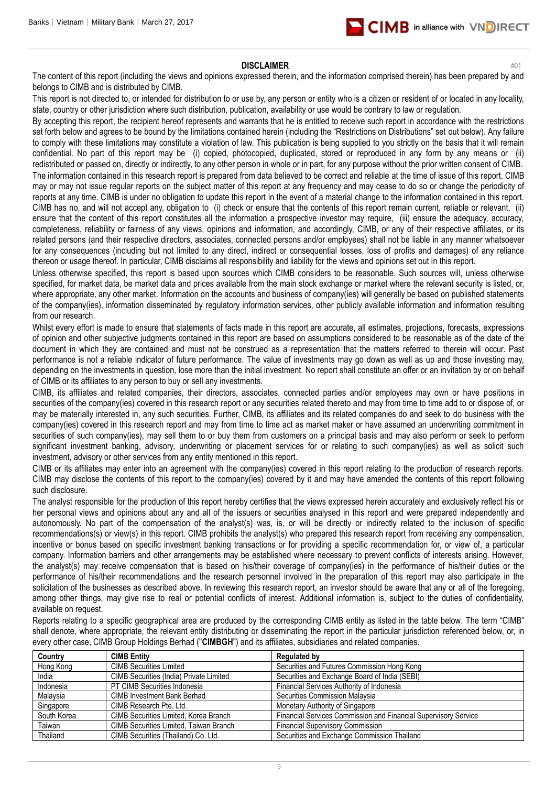

#### **DISCLAIMER** #01

The content of this report (including the views and opinions expressed therein, and the information comprised therein) has been prepared by and belongs to CIMB and is distributed by CIMB.

This report is not directed to, or intended for distribution to or use by, any person or entity who is a citizen or resident of or located in any locality, state, country or other jurisdiction where such distribution, publication, availability or use would be contrary to law or regulation.

By accepting this report, the recipient hereof represents and warrants that he is entitled to receive such report in accordance with the restrictions set forth below and agrees to be bound by the limitations contained herein (including the "Restrictions on Distributions" set out below). Any failure to comply with these limitations may constitute a violation of law. This publication is being supplied to you strictly on the basis that it will remain confidential. No part of this report may be (i) copied, photocopied, duplicated, stored or reproduced in any form by any means or (ii) redistributed or passed on, directly or indirectly, to any other person in whole or in part, for any purpose without the prior written consent of CIMB. The information contained in this research report is prepared from data believed to be correct and reliable at the time of issue of this report. CIMB may or may not issue regular reports on the subject matter of this report at any frequency and may cease to do so or change the periodicity of reports at any time. CIMB is under no obligation to update this report in the event of a material change to the information contained in this report. CIMB has no, and will not accept any, obligation to (i) check or ensure that the contents of this report remain current, reliable or relevant, (ii) ensure that the content of this report constitutes all the information a prospective investor may require, (iii) ensure the adequacy, accuracy, completeness, reliability or fairness of any views, opinions and information, and accordingly, CIMB, or any of their respective affiliates, or its related persons (and their respective directors, associates, connected persons and/or employees) shall not be liable in any manner whatsoever for any consequences (including but not limited to any direct, indirect or consequential losses, loss of profits and damages) of any reliance thereon or usage thereof. In particular, CIMB disclaims all responsibility and liability for the views and opinions set out in this report.

Unless otherwise specified, this report is based upon sources which CIMB considers to be reasonable. Such sources will, unless otherwise specified, for market data, be market data and prices available from the main stock exchange or market where the relevant security is listed, or, where appropriate, any other market. Information on the accounts and business of company(ies) will generally be based on published statements of the company(ies), information disseminated by regulatory information services, other publicly available information and information resulting from our research.

Whilst every effort is made to ensure that statements of facts made in this report are accurate, all estimates, projections, forecasts, expressions of opinion and other subjective judgments contained in this report are based on assumptions considered to be reasonable as of the date of the document in which they are contained and must not be construed as a representation that the matters referred to therein will occur. Past performance is not a reliable indicator of future performance. The value of investments may go down as well as up and those investing may, depending on the investments in question, lose more than the initial investment. No report shall constitute an offer or an invitation by or on behalf of CIMB or its affiliates to any person to buy or sell any investments.

CIMB, its affiliates and related companies, their directors, associates, connected parties and/or employees may own or have positions in securities of the company(ies) covered in this research report or any securities related thereto and may from time to time add to or dispose of, or may be materially interested in, any such securities. Further, CIMB, its affiliates and its related companies do and seek to do business with the company(ies) covered in this research report and may from time to time act as market maker or have assumed an underwriting commitment in securities of such company(ies), may sell them to or buy them from customers on a principal basis and may also perform or seek to perform significant investment banking, advisory, underwriting or placement services for or relating to such company(ies) as well as solicit such investment, advisory or other services from any entity mentioned in this report.

CIMB or its affiliates may enter into an agreement with the company(ies) covered in this report relating to the production of research reports. CIMB may disclose the contents of this report to the company(ies) covered by it and may have amended the contents of this report following such disclosure.

The analyst responsible for the production of this report hereby certifies that the views expressed herein accurately and exclusively reflect his or her personal views and opinions about any and all of the issuers or securities analysed in this report and were prepared independently and autonomously. No part of the compensation of the analyst(s) was, is, or will be directly or indirectly related to the inclusion of specific recommendations(s) or view(s) in this report. CIMB prohibits the analyst(s) who prepared this research report from receiving any compensation, incentive or bonus based on specific investment banking transactions or for providing a specific recommendation for, or view of, a particular company. Information barriers and other arrangements may be established where necessary to prevent conflicts of interests arising. However, the analyst(s) may receive compensation that is based on his/their coverage of company(ies) in the performance of his/their duties or the performance of his/their recommendations and the research personnel involved in the preparation of this report may also participate in the solicitation of the businesses as described above. In reviewing this research report, an investor should be aware that any or all of the foregoing, among other things, may give rise to real or potential conflicts of interest. Additional information is, subject to the duties of confidentiality, available on request.

Reports relating to a specific geographical area are produced by the corresponding CIMB entity as listed in the table below. The term "CIMB" shall denote, where appropriate, the relevant entity distributing or disseminating the report in the particular jurisdiction referenced below, or, in every other case, CIMB Group Holdings Berhad ("**CIMBGH**") and its affiliates, subsidiaries and related companies.

| Country     | <b>CIMB Entity</b>                      | <b>Regulated by</b>                                             |
|-------------|-----------------------------------------|-----------------------------------------------------------------|
| Hong Kong   | <b>CIMB Securities Limited</b>          | Securities and Futures Commission Hong Kong                     |
| India       | CIMB Securities (India) Private Limited | Securities and Exchange Board of India (SEBI)                   |
| Indonesia   | PT CIMB Securities Indonesia            | Financial Services Authority of Indonesia                       |
| Malaysia    | <b>CIMB Investment Bank Berhad</b>      | Securities Commission Malaysia                                  |
| Singapore   | CIMB Research Pte. Ltd.                 | Monetary Authority of Singapore                                 |
| South Korea | CIMB Securities Limited, Korea Branch   | Financial Services Commission and Financial Supervisory Service |
| Taiwan      | CIMB Securities Limited, Taiwan Branch  | <b>Financial Supervisory Commission</b>                         |
| Thailand    | CIMB Securities (Thailand) Co. Ltd.     | Securities and Exchange Commission Thailand                     |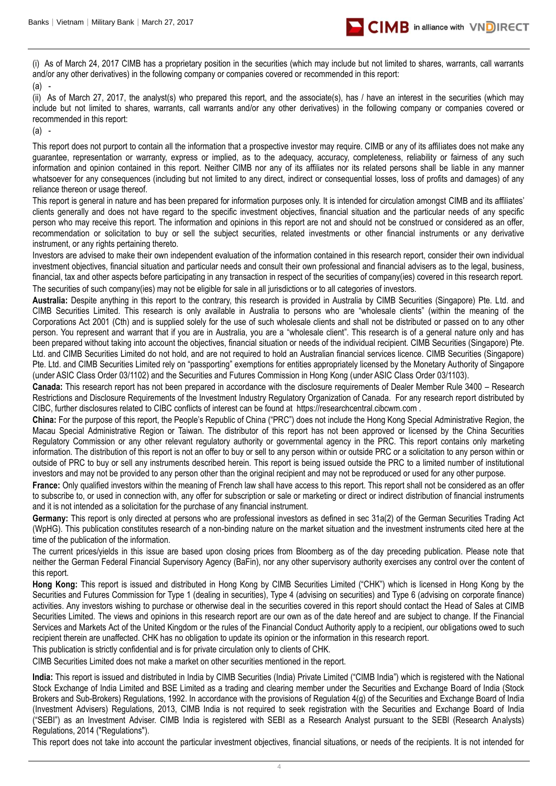

(i) As of March 24, 2017 CIMB has a proprietary position in the securities (which may include but not limited to shares, warrants, call warrants and/or any other derivatives) in the following company or companies covered or recommended in this report:

(a) -

(ii) As of March 27, 2017, the analyst(s) who prepared this report, and the associate(s), has / have an interest in the securities (which may include but not limited to shares, warrants, call warrants and/or any other derivatives) in the following company or companies covered or recommended in this report:

(a) -

This report does not purport to contain all the information that a prospective investor may require. CIMB or any of its affiliates does not make any guarantee, representation or warranty, express or implied, as to the adequacy, accuracy, completeness, reliability or fairness of any such information and opinion contained in this report. Neither CIMB nor any of its affiliates nor its related persons shall be liable in any manner whatsoever for any consequences (including but not limited to any direct, indirect or consequential losses, loss of profits and damages) of any reliance thereon or usage thereof.

This report is general in nature and has been prepared for information purposes only. It is intended for circulation amongst CIMB and its affiliates' clients generally and does not have regard to the specific investment objectives, financial situation and the particular needs of any specific person who may receive this report. The information and opinions in this report are not and should not be construed or considered as an offer, recommendation or solicitation to buy or sell the subject securities, related investments or other financial instruments or any derivative instrument, or any rights pertaining thereto.

Investors are advised to make their own independent evaluation of the information contained in this research report, consider their own individual investment objectives, financial situation and particular needs and consult their own professional and financial advisers as to the legal, business, financial, tax and other aspects before participating in any transaction in respect of the securities of company(ies) covered in this research report. The securities of such company(ies) may not be eligible for sale in all jurisdictions or to all categories of investors.

**Australia:** Despite anything in this report to the contrary, this research is provided in Australia by CIMB Securities (Singapore) Pte. Ltd. and CIMB Securities Limited. This research is only available in Australia to persons who are "wholesale clients" (within the meaning of the Corporations Act 2001 (Cth) and is supplied solely for the use of such wholesale clients and shall not be distributed or passed on to any other person. You represent and warrant that if you are in Australia, you are a "wholesale client". This research is of a general nature only and has been prepared without taking into account the objectives, financial situation or needs of the individual recipient. CIMB Securities (Singapore) Pte. Ltd. and CIMB Securities Limited do not hold, and are not required to hold an Australian financial services licence. CIMB Securities (Singapore) Pte. Ltd. and CIMB Securities Limited rely on "passporting" exemptions for entities appropriately licensed by the Monetary Authority of Singapore (under ASIC Class Order 03/1102) and the Securities and Futures Commission in Hong Kong (under ASIC Class Order 03/1103).

**Canada:** This research report has not been prepared in accordance with the disclosure requirements of Dealer Member Rule 3400 – Research Restrictions and Disclosure Requirements of the Investment Industry Regulatory Organization of Canada. For any research report distributed by CIBC, further disclosures related to CIBC conflicts of interest can be found at https://researchcentral.cibcwm.com .

**China:** For the purpose of this report, the People's Republic of China ("PRC") does not include the Hong Kong Special Administrative Region, the Macau Special Administrative Region or Taiwan. The distributor of this report has not been approved or licensed by the China Securities Regulatory Commission or any other relevant regulatory authority or governmental agency in the PRC. This report contains only marketing information. The distribution of this report is not an offer to buy or sell to any person within or outside PRC or a solicitation to any person within or outside of PRC to buy or sell any instruments described herein. This report is being issued outside the PRC to a limited number of institutional investors and may not be provided to any person other than the original recipient and may not be reproduced or used for any other purpose.

France: Only qualified investors within the meaning of French law shall have access to this report. This report shall not be considered as an offer to subscribe to, or used in connection with, any offer for subscription or sale or marketing or direct or indirect distribution of financial instruments and it is not intended as a solicitation for the purchase of any financial instrument.

**Germany:** This report is only directed at persons who are professional investors as defined in sec 31a(2) of the German Securities Trading Act (WpHG). This publication constitutes research of a non-binding nature on the market situation and the investment instruments cited here at the time of the publication of the information.

The current prices/yields in this issue are based upon closing prices from Bloomberg as of the day preceding publication. Please note that neither the German Federal Financial Supervisory Agency (BaFin), nor any other supervisory authority exercises any control over the content of this report.

**Hong Kong:** This report is issued and distributed in Hong Kong by CIMB Securities Limited ("CHK") which is licensed in Hong Kong by the Securities and Futures Commission for Type 1 (dealing in securities), Type 4 (advising on securities) and Type 6 (advising on corporate finance) activities. Any investors wishing to purchase or otherwise deal in the securities covered in this report should contact the Head of Sales at CIMB Securities Limited. The views and opinions in this research report are our own as of the date hereof and are subject to change. If the Financial Services and Markets Act of the United Kingdom or the rules of the Financial Conduct Authority apply to a recipient, our obligations owed to such recipient therein are unaffected. CHK has no obligation to update its opinion or the information in this research report.

This publication is strictly confidential and is for private circulation only to clients of CHK.

CIMB Securities Limited does not make a market on other securities mentioned in the report.

**India:** This report is issued and distributed in India by CIMB Securities (India) Private Limited ("CIMB India") which is registered with the National Stock Exchange of India Limited and BSE Limited as a trading and clearing member under the Securities and Exchange Board of India (Stock Brokers and Sub-Brokers) Regulations, 1992. In accordance with the provisions of Regulation 4(g) of the Securities and Exchange Board of India (Investment Advisers) Regulations, 2013, CIMB India is not required to seek registration with the Securities and Exchange Board of India ("SEBI") as an Investment Adviser. CIMB India is registered with SEBI as a Research Analyst pursuant to the SEBI (Research Analysts) Regulations, 2014 ("Regulations").

This report does not take into account the particular investment objectives, financial situations, or needs of the recipients. It is not intended for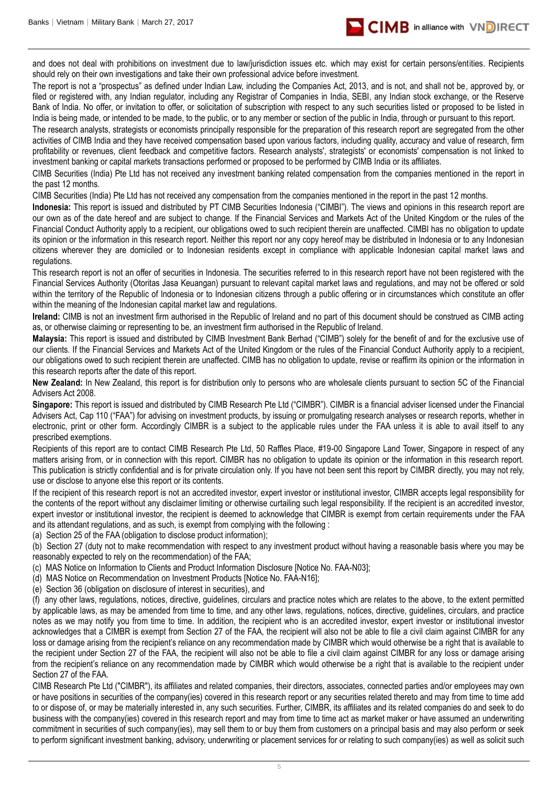

and does not deal with prohibitions on investment due to law/jurisdiction issues etc. which may exist for certain persons/entities. Recipients should rely on their own investigations and take their own professional advice before investment.

The report is not a "prospectus" as defined under Indian Law, including the Companies Act, 2013, and is not, and shall not be, approved by, or filed or registered with, any Indian regulator, including any Registrar of Companies in India, SEBI, any Indian stock exchange, or the Reserve Bank of India. No offer, or invitation to offer, or solicitation of subscription with respect to any such securities listed or proposed to be listed in India is being made, or intended to be made, to the public, or to any member or section of the public in India, through or pursuant to this report.

The research analysts, strategists or economists principally responsible for the preparation of this research report are segregated from the other activities of CIMB India and they have received compensation based upon various factors, including quality, accuracy and value of research, firm profitability or revenues, client feedback and competitive factors. Research analysts', strategists' or economists' compensation is not linked to investment banking or capital markets transactions performed or proposed to be performed by CIMB India or its affiliates.

CIMB Securities (India) Pte Ltd has not received any investment banking related compensation from the companies mentioned in the report in the past 12 months.

CIMB Securities (India) Pte Ltd has not received any compensation from the companies mentioned in the report in the past 12 months.

**Indonesia:** This report is issued and distributed by PT CIMB Securities Indonesia ("CIMBI"). The views and opinions in this research report are our own as of the date hereof and are subject to change. If the Financial Services and Markets Act of the United Kingdom or the rules of the Financial Conduct Authority apply to a recipient, our obligations owed to such recipient therein are unaffected. CIMBI has no obligation to update its opinion or the information in this research report. Neither this report nor any copy hereof may be distributed in Indonesia or to any Indonesian citizens wherever they are domiciled or to Indonesian residents except in compliance with applicable Indonesian capital market laws and regulations.

This research report is not an offer of securities in Indonesia. The securities referred to in this research report have not been registered with the Financial Services Authority (Otoritas Jasa Keuangan) pursuant to relevant capital market laws and regulations, and may not be offered or sold within the territory of the Republic of Indonesia or to Indonesian citizens through a public offering or in circumstances which constitute an offer within the meaning of the Indonesian capital market law and regulations.

**Ireland:** CIMB is not an investment firm authorised in the Republic of Ireland and no part of this document should be construed as CIMB acting as, or otherwise claiming or representing to be, an investment firm authorised in the Republic of Ireland.

**Malaysia:** This report is issued and distributed by CIMB Investment Bank Berhad ("CIMB") solely for the benefit of and for the exclusive use of our clients. If the Financial Services and Markets Act of the United Kingdom or the rules of the Financial Conduct Authority apply to a recipient, our obligations owed to such recipient therein are unaffected. CIMB has no obligation to update, revise or reaffirm its opinion or the information in this research reports after the date of this report.

**New Zealand:** In New Zealand, this report is for distribution only to persons who are wholesale clients pursuant to section 5C of the Financial Advisers Act 2008.

**Singapore:** This report is issued and distributed by CIMB Research Pte Ltd ("CIMBR"). CIMBR is a financial adviser licensed under the Financial Advisers Act, Cap 110 ("FAA") for advising on investment products, by issuing or promulgating research analyses or research reports, whether in electronic, print or other form. Accordingly CIMBR is a subject to the applicable rules under the FAA unless it is able to avail itself to any prescribed exemptions.

Recipients of this report are to contact CIMB Research Pte Ltd, 50 Raffles Place, #19-00 Singapore Land Tower, Singapore in respect of any matters arising from, or in connection with this report. CIMBR has no obligation to update its opinion or the information in this research report. This publication is strictly confidential and is for private circulation only. If you have not been sent this report by CIMBR directly, you may not rely, use or disclose to anyone else this report or its contents.

If the recipient of this research report is not an accredited investor, expert investor or institutional investor, CIMBR accepts legal responsibility for the contents of the report without any disclaimer limiting or otherwise curtailing such legal responsibility. If the recipient is an accredited investor, expert investor or institutional investor, the recipient is deemed to acknowledge that CIMBR is exempt from certain requirements under the FAA and its attendant regulations, and as such, is exempt from complying with the following :

(a) Section 25 of the FAA (obligation to disclose product information);

(b) Section 27 (duty not to make recommendation with respect to any investment product without having a reasonable basis where you may be reasonably expected to rely on the recommendation) of the FAA;

- (c) MAS Notice on Information to Clients and Product Information Disclosure [Notice No. FAA-N03];
- (d) MAS Notice on Recommendation on Investment Products [Notice No. FAA-N16];

(e) Section 36 (obligation on disclosure of interest in securities), and

(f) any other laws, regulations, notices, directive, guidelines, circulars and practice notes which are relates to the above, to the extent permitted by applicable laws, as may be amended from time to time, and any other laws, regulations, notices, directive, guidelines, circulars, and practice notes as we may notify you from time to time. In addition, the recipient who is an accredited investor, expert investor or institutional investor acknowledges that a CIMBR is exempt from Section 27 of the FAA, the recipient will also not be able to file a civil claim against CIMBR for any loss or damage arising from the recipient's reliance on any recommendation made by CIMBR which would otherwise be a right that is available to the recipient under Section 27 of the FAA, the recipient will also not be able to file a civil claim against CIMBR for any loss or damage arising from the recipient's reliance on any recommendation made by CIMBR which would otherwise be a right that is available to the recipient under Section 27 of the FAA.

CIMB Research Pte Ltd ("CIMBR"), its affiliates and related companies, their directors, associates, connected parties and/or employees may own or have positions in securities of the company(ies) covered in this research report or any securities related thereto and may from time to time add to or dispose of, or may be materially interested in, any such securities. Further, CIMBR, its affiliates and its related companies do and seek to do business with the company(ies) covered in this research report and may from time to time act as market maker or have assumed an underwriting commitment in securities of such company(ies), may sell them to or buy them from customers on a principal basis and may also perform or seek to perform significant investment banking, advisory, underwriting or placement services for or relating to such company(ies) as well as solicit such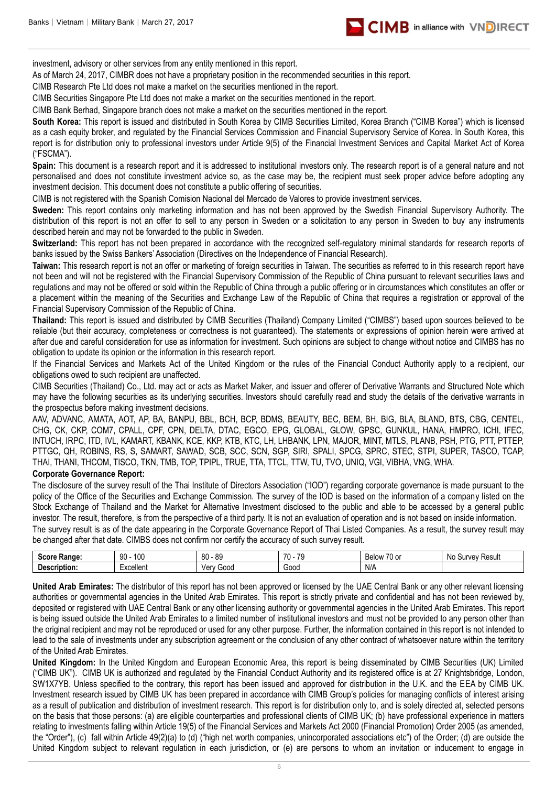

investment, advisory or other services from any entity mentioned in this report.

As of March 24, 2017, CIMBR does not have a proprietary position in the recommended securities in this report.

CIMB Research Pte Ltd does not make a market on the securities mentioned in the report.

CIMB Securities Singapore Pte Ltd does not make a market on the securities mentioned in the report.

CIMB Bank Berhad, Singapore branch does not make a market on the securities mentioned in the report.

**South Korea:** This report is issued and distributed in South Korea by CIMB Securities Limited, Korea Branch ("CIMB Korea") which is licensed as a cash equity broker, and regulated by the Financial Services Commission and Financial Supervisory Service of Korea. In South Korea, this report is for distribution only to professional investors under Article 9(5) of the Financial Investment Services and Capital Market Act of Korea ("FSCMA").

**Spain:** This document is a research report and it is addressed to institutional investors only. The research report is of a general nature and not personalised and does not constitute investment advice so, as the case may be, the recipient must seek proper advice before adopting any investment decision. This document does not constitute a public offering of securities.

CIMB is not registered with the Spanish Comision Nacional del Mercado de Valores to provide investment services.

**Sweden:** This report contains only marketing information and has not been approved by the Swedish Financial Supervisory Authority. The distribution of this report is not an offer to sell to any person in Sweden or a solicitation to any person in Sweden to buy any instruments described herein and may not be forwarded to the public in Sweden.

Switzerland: This report has not been prepared in accordance with the recognized self-regulatory minimal standards for research reports of banks issued by the Swiss Bankers' Association (Directives on the Independence of Financial Research).

Taiwan: This research report is not an offer or marketing of foreign securities in Taiwan. The securities as referred to in this research report have not been and will not be registered with the Financial Supervisory Commission of the Republic of China pursuant to relevant securities laws and regulations and may not be offered or sold within the Republic of China through a public offering or in circumstances which constitutes an offer or a placement within the meaning of the Securities and Exchange Law of the Republic of China that requires a registration or approval of the Financial Supervisory Commission of the Republic of China.

**Thailand:** This report is issued and distributed by CIMB Securities (Thailand) Company Limited ("CIMBS") based upon sources believed to be reliable (but their accuracy, completeness or correctness is not guaranteed). The statements or expressions of opinion herein were arrived at after due and careful consideration for use as information for investment. Such opinions are subject to change without notice and CIMBS has no obligation to update its opinion or the information in this research report.

If the Financial Services and Markets Act of the United Kingdom or the rules of the Financial Conduct Authority apply to a recipient, our obligations owed to such recipient are unaffected.

CIMB Securities (Thailand) Co., Ltd. may act or acts as Market Maker, and issuer and offerer of Derivative Warrants and Structured Note which may have the following securities as its underlying securities. Investors should carefully read and study the details of the derivative warrants in the prospectus before making investment decisions.

AAV, ADVANC, AMATA, AOT, AP, BA, BANPU, BBL, BCH, BCP, BDMS, BEAUTY, BEC, BEM, BH, BIG, BLA, BLAND, BTS, CBG, CENTEL, CHG, CK, CKP, COM7, CPALL, CPF, CPN, DELTA, DTAC, EGCO, EPG, GLOBAL, GLOW, GPSC, GUNKUL, HANA, HMPRO, ICHI, IFEC, INTUCH, IRPC, ITD, IVL, KAMART, KBANK, KCE, KKP, KTB, KTC, LH, LHBANK, LPN, MAJOR, MINT, MTLS, PLANB, PSH, PTG, PTT, PTTEP, PTTGC, QH, ROBINS, RS, S, SAMART, SAWAD, SCB, SCC, SCN, SGP, SIRI, SPALI, SPCG, SPRC, STEC, STPI, SUPER, TASCO, TCAP, THAI, THANI, THCOM, TISCO, TKN, TMB, TOP, TPIPL, TRUE, TTA, TTCL, TTW, TU, TVO, UNIQ, VGI, VIBHA, VNG, WHA.

## **Corporate Governance Report:**

The disclosure of the survey result of the Thai Institute of Directors Association ("IOD") regarding corporate governance is made pursuant to the policy of the Office of the Securities and Exchange Commission. The survey of the IOD is based on the information of a company listed on the Stock Exchange of Thailand and the Market for Alternative Investment disclosed to the public and able to be accessed by a general public investor. The result, therefore, is from the perspective of a third party. It is not an evaluation of operation and is not based on inside information.

The survey result is as of the date appearing in the Corporate Governance Report of Thai Listed Companies. As a result, the survey result may be changed after that date. CIMBS does not confirm nor certify the accuracy of such survey result.

| – Scor i<br>----<br><b>FINDE.</b> | 100<br>o٥<br>. .<br>JU | 80<br><b>RQ</b><br>v | $\rightarrow$<br>$\sim$<br>. . | - 1<br>וח ו<br>レヘハ<br>belu<br>v<br>$\cdot$ | ≺esult<br><b>INAV</b><br>N0 |
|-----------------------------------|------------------------|----------------------|--------------------------------|--------------------------------------------|-----------------------------|
| <br>$-$ - $ -$<br>ription:        | xcellent               | oodذ<br>Ver l        | Good                           | N/A                                        |                             |

**United Arab Emirates:** The distributor of this report has not been approved or licensed by the UAE Central Bank or any other relevant licensing authorities or governmental agencies in the United Arab Emirates. This report is strictly private and confidential and has not been reviewed by, deposited or registered with UAE Central Bank or any other licensing authority or governmental agencies in the United Arab Emirates. This report is being issued outside the United Arab Emirates to a limited number of institutional investors and must not be provided to any person other than the original recipient and may not be reproduced or used for any other purpose. Further, the information contained in this report is not intended to lead to the sale of investments under any subscription agreement or the conclusion of any other contract of whatsoever nature within the territory of the United Arab Emirates.

**United Kingdom:** In the United Kingdom and European Economic Area, this report is being disseminated by CIMB Securities (UK) Limited ("CIMB UK"). CIMB UK is authorized and regulated by the Financial Conduct Authority and its registered office is at 27 Knightsbridge, London, SW1X7YB. Unless specified to the contrary, this report has been issued and approved for distribution in the U.K. and the EEA by CIMB UK. Investment research issued by CIMB UK has been prepared in accordance with CIMB Group's policies for managing conflicts of interest arising as a result of publication and distribution of investment research. This report is for distribution only to, and is solely directed at, selected persons on the basis that those persons: (a) are eligible counterparties and professional clients of CIMB UK; (b) have professional experience in matters relating to investments falling within Article 19(5) of the Financial Services and Markets Act 2000 (Financial Promotion) Order 2005 (as amended, the "Order"), (c) fall within Article 49(2)(a) to (d) ("high net worth companies, unincorporated associations etc") of the Order; (d) are outside the United Kingdom subject to relevant regulation in each jurisdiction, or (e) are persons to whom an invitation or inducement to engage in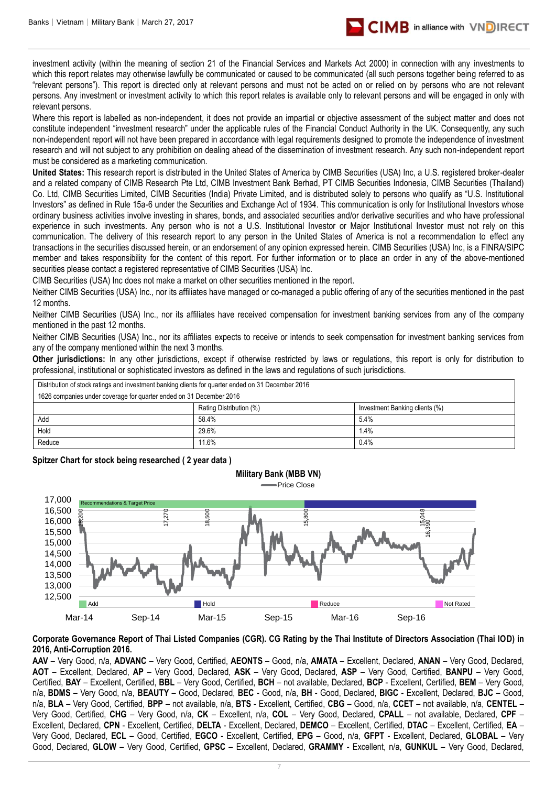

investment activity (within the meaning of section 21 of the Financial Services and Markets Act 2000) in connection with any investments to which this report relates may otherwise lawfully be communicated or caused to be communicated (all such persons together being referred to as "relevant persons"). This report is directed only at relevant persons and must not be acted on or relied on by persons who are not relevant persons. Any investment or investment activity to which this report relates is available only to relevant persons and will be engaged in only with relevant persons.

Where this report is labelled as non-independent, it does not provide an impartial or objective assessment of the subject matter and does not constitute independent "investment research" under the applicable rules of the Financial Conduct Authority in the UK. Consequently, any such non-independent report will not have been prepared in accordance with legal requirements designed to promote the independence of investment research and will not subject to any prohibition on dealing ahead of the dissemination of investment research. Any such non-independent report must be considered as a marketing communication.

**United States:** This research report is distributed in the United States of America by CIMB Securities (USA) Inc, a U.S. registered broker-dealer and a related company of CIMB Research Pte Ltd, CIMB Investment Bank Berhad, PT CIMB Securities Indonesia, CIMB Securities (Thailand) Co. Ltd, CIMB Securities Limited, CIMB Securities (India) Private Limited, and is distributed solely to persons who qualify as "U.S. Institutional Investors" as defined in Rule 15a-6 under the Securities and Exchange Act of 1934. This communication is only for Institutional Investors whose ordinary business activities involve investing in shares, bonds, and associated securities and/or derivative securities and who have professional experience in such investments. Any person who is not a U.S. Institutional Investor or Major Institutional Investor must not rely on this communication. The delivery of this research report to any person in the United States of America is not a recommendation to effect any transactions in the securities discussed herein, or an endorsement of any opinion expressed herein. CIMB Securities (USA) Inc, is a FINRA/SIPC member and takes responsibility for the content of this report. For further information or to place an order in any of the above-mentioned securities please contact a registered representative of CIMB Securities (USA) Inc.

CIMB Securities (USA) Inc does not make a market on other securities mentioned in the report.

Neither CIMB Securities (USA) Inc., nor its affiliates have managed or co-managed a public offering of any of the securities mentioned in the past 12 months.

Neither CIMB Securities (USA) Inc., nor its affiliates have received compensation for investment banking services from any of the company mentioned in the past 12 months.

Neither CIMB Securities (USA) Inc., nor its affiliates expects to receive or intends to seek compensation for investment banking services from any of the company mentioned within the next 3 months.

**Other jurisdictions:** In any other jurisdictions, except if otherwise restricted by laws or regulations, this report is only for distribution to professional, institutional or sophisticated investors as defined in the laws and regulations of such jurisdictions.

| Distribution of stock ratings and investment banking clients for quarter ended on 31 December 2016 |                         |                                |  |  |
|----------------------------------------------------------------------------------------------------|-------------------------|--------------------------------|--|--|
| 1626 companies under coverage for quarter ended on 31 December 2016                                |                         |                                |  |  |
|                                                                                                    | Rating Distribution (%) | Investment Banking clients (%) |  |  |
| Add                                                                                                | 58.4%                   | 5.4%                           |  |  |
| Hold                                                                                               | 29.6%                   | 1.4%                           |  |  |
| Reduce                                                                                             | 11.6%                   | 0.4%                           |  |  |

**Spitzer Chart for stock being researched ( 2 year data )** 



**Corporate Governance Report of Thai Listed Companies (CGR). CG Rating by the Thai Institute of Directors Association (Thai IOD) in 2016, Anti-Corruption 2016.**

**AAV** – Very Good, n/a, **ADVANC** – Very Good, Certified, **AEONTS** – Good, n/a, **AMATA** – Excellent, Declared, **ANAN** – Very Good, Declared, **AOT** – Excellent, Declared, **AP** – Very Good, Declared, **ASK** – Very Good, Declared, **ASP** – Very Good, Certified, **BANPU** – Very Good, Certified, **BAY** – Excellent, Certified, **BBL** – Very Good, Certified, **BCH** – not available, Declared, **BCP** - Excellent, Certified, **BEM** – Very Good, n/a, **BDMS** – Very Good, n/a, **BEAUTY** – Good, Declared, **BEC** - Good, n/a, **BH** - Good, Declared, **BIGC** - Excellent, Declared, **BJC** – Good, n/a, **BLA** – Very Good, Certified, **BPP** – not available, n/a, **BTS** - Excellent, Certified, **CBG** – Good, n/a, **CCET** – not available, n/a, **CENTEL** – Very Good, Certified, **CHG** – Very Good, n/a, **CK** – Excellent, n/a, **COL** – Very Good, Declared, **CPALL** – not available, Declared, **CPF** – Excellent, Declared, **CPN** - Excellent, Certified, **DELTA** - Excellent, Declared, **DEMCO** – Excellent, Certified, **DTAC** – Excellent, Certified, **EA** – Very Good, Declared, **ECL** – Good, Certified, **EGCO** - Excellent, Certified, **EPG** – Good, n/a, **GFPT** - Excellent, Declared, **GLOBAL** – Very